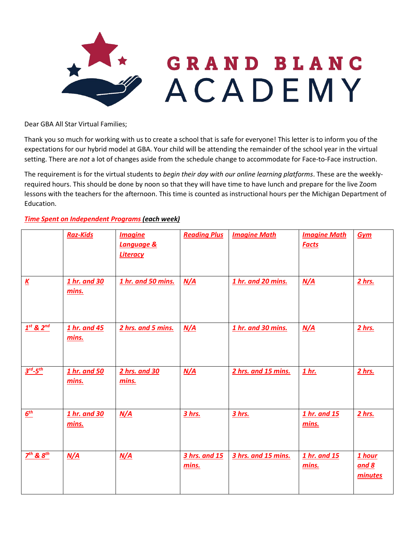

Dear GBA All Star Virtual Families;

Thank you so much for working with us to create a school that is safe for everyone! This letter is to inform you of the expectations for our hybrid model at GBA. Your child will be attending the remainder of the school year in the virtual setting. There are *not* a lot of changes aside from the schedule change to accommodate for Face-to-Face instruction.

The requirement is for the virtual students to *begin their day with our online learning platforms*. These are the weeklyrequired hours. This should be done by noon so that they will have time to have lunch and prepare for the live Zoom lessons with the teachers for the afternoon. This time is counted as instructional hours per the Michigan Department of Education.

## *Time Spent on Independent Programs (each week)*

|                          | <b>Raz-Kids</b>       | <b>Imagine</b><br>Language &<br><b>Literacy</b> | <b>Reading Plus</b>    | <b>Imagine Math</b> | <b>Imagine Math</b><br><b>Facts</b> | Gym                        |
|--------------------------|-----------------------|-------------------------------------------------|------------------------|---------------------|-------------------------------------|----------------------------|
| $\underline{\mathbf{K}}$ | 1 hr. and 30<br>mins. | 1 hr. and 50 mins.                              | N/A                    | 1 hr. and 20 mins.  | N/A                                 | 2 hrs.                     |
| $1st$ & $2nd$            | 1 hr. and 45<br>mins. | 2 hrs. and 5 mins.                              | N/A                    | 1 hr. and 30 mins.  | N/A                                 | 2 hrs.                     |
| $3^{rd} - 5^{th}$        | 1 hr. and 50<br>mins. | 2 hrs. and 30<br>mins.                          | N/A                    | 2 hrs. and 15 mins. | 1 <sub>hr.</sub>                    | 2 hrs.                     |
| $\underline{6^{th}}$     | 1 hr. and 30<br>mins. | N/A                                             | 3 hrs.                 | 3 hrs.              | 1 hr. and 15<br>mins.               | 2 hrs.                     |
| $Z^{th}$ & $S^{th}$      | N/A                   | N/A                                             | 3 hrs. and 15<br>mins. | 3 hrs. and 15 mins. | 1 hr. and 15<br>mins.               | 1 hour<br>and 8<br>minutes |